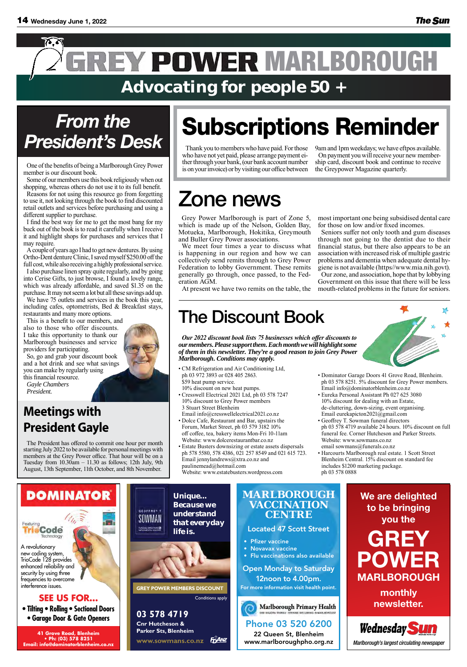**special merry Christmas** 



### *From the* Phone 03 578 4950 or visit our website on **President's Desk**

One of the benefits of being a Marlborough Grey Power member is our discount book.

Some of our members use this book religiously when out shopping, whereas others do not use it to its full benefit.

Reasons for not using this resource go from forgetting to use it, not looking through the book to find discounted retail outlets and services before purchasing and using a different supplier to purchase.

I find the best way for me to get the most bang for my buck out of the book is to read it carefully when I receive it and highlight shops for purchases and services that I may require.

A couple of years ago I had to get new dentures. By using Ortho-Dent denture Clinic, I saved myself \$250.00 off the full cost, while also receiving a highly professional service.

I also purchase linen spray quite regularly, and by going into Cerise Gifts, to just browse, I found a lovely range, which was already affordable, and saved \$1.35 on the purchase. It may not seem a lot but all these savings add up.

We have 75 outlets and services in the book this year, including cafes, optometrists, Bed & Breakfast stays, restaurants and many more options.

This is a benefit to our members, and also to those who offer discounts. I take this opportunity to thank our Marlborough businesses and service providers for participating.

So, go and grab your discount book and a hot drink and see what savings you can make by regularly using this financial resource. *Gayle Chambers*

*President.*

### Phone 03 520 6200

22 Queen St, Blenheim www.marlboroughpho.org.nz

## **CENTRE**



- • Pfizer vaccine
- Novavax vaccine
- • Flu vaccinations also available
- Open Monday to Saturday 12noon to 4.00pm. For more information visit health point.



**Marlborough Primary Health** 

*erindriced rendomly diversion* frequencies to overcome *interference issues.* A revolutionary new coding system, TrioCode 128 provides enhanced reliability and

### **41 GREAT & CALC BY BY EXECUS FOR...**

**41 Grove Road, Blenheim • Ph: (03) 578 8251 Email: info@dominatorblenheim.co.nz**

Thank you to members who have paid. For those who have not yet paid, please arrange payment either through your bank, (our bank account number is on your invoice) or by visiting our office between

9am and 1pm weekdays; we have eftpos available. On payment you will receive your new membership card, discount book and continue to receive the Greypower Magazine quarterly.

Grey Power Marlborough is part of Zone 5, which is made up of the Nelson, Golden Bay, Motueka, Marlborough, Hokitika, Greymouth and Buller Grey Power associations.

We meet four times a year to discuss what is happening in our region and how we can collectively send remits through to Grey Power Federation to lobby Government. These remits generally go through, once passed, to the Federation AGM.

At present we have two remits on the table, the

most important one being subsidised dental care for those on low and/or fixed incomes.

**MARLBOROUGH VACCINATION**  *Because we understand that everyday* 

Seniors suffer not only tooth and gum diseases through not going to the dentist due to their financial status, but there also appears to be an association with increased risk of multiple gastric problems and dementia when adequate dental hygiene is not available (https//www.mia.nih.govt). Our zone, and association, hope that by lobbying Government on this issue that there will be less

 $\sum_{\text{starting July } 2022 \text{ to}}$  $\sigma$  revolutionary new coding  $\sigma$ members at the Grey Power office. That hour will be on a Tuesday from  $10.30$ am  $- 11.30$  as follows; 12th July, 9th The President has offered to commit one hour per month starting July 2022 to be available for personal meetings with August, 13th September, 11th October, and 8th November.

mouth-related problems in the future for seniors.

# Subscriptions Reminder

# Zone news

system, TrioCode 128 provides enhanced reliability and bomin frequencies to overcome

> **• Tilting • Rolling • Sectional Doors • Garage Door & Gate Openers**

**03 578 4719 Cnr Hutcheson &** 

**Parker Sts, Blenheim**

**www.sowmans.co.nz**

*Unique...* 



GEOFFREY T SOWMAN



### **GREY POWER MEMBERS DISCOUNT**

Conditions apply

*Marlborough's largest circulating newspaper*



**We are delighted to be bringing you the** 





Featuring

# **GREY POWER MARLBOROUGH**

**monthly newsletter.**

*Our 2022 discount book lists 75 businesses which offer discounts to our members. Please support them. Each month we will highlight some of them in this newsletter. They're a good reason to join Grey Power Marlborough. Conditions may apply.*

- CM Refrigeration and Air Conditioning Ltd, ph 03 972 3893 or 028 405 2863. \$59 heat pump service. 10% discount on new heat pumps.
- Cresswell Electrical 2021 Ltd, ph 03 578 7247 10% discount to Grey Power members 3 Stuart Street Blenheim Email info@cresswellelectrical2021.co.nz
- Dolce Cafe, Restaurant and Bar, upstairs the Forum, Market Street, ph 03 579 3182 10% off coffee, tea, bakery items Mon-Fri 10-11am Website: www.dolcerestaurantbar.co.nz
- Estate Busters downsizing or estate assets dispersals ph 578 5580, 578 4386, 021 257 8549 and 021 615 723. Email jennylandrews@xtra.co.nz and paulinemead@hotmail.com Website: www.estatebusters.wordpress.com



- Dominator Garage Doors 41 Grove Road, Blenheim. ph 03 578 8251. 5% discount for Grey Power members. Email info@dominatorblenheim.co.nz
- Eureka Personal Assistant Ph 027 625 3080 10% discount for dealing with an Estate, de-cluttering, down-sizing, event organising. Email eurekapicton2021@gmail.com
- Geoffrey T. Sowman funeral directors ph 03 578 4719 available 24 hours. 10% discount on full funeral fee. Corner Hutcheson and Parker Streets. Website: www.sowmans.co.nz email sowmans@funerals.co.nz
- Harcourts Marlborough real estate. 1 Scott Street Blenheim Central. 15% discount on standard fee includes \$1200 marketing package. ph 03 578 0888

## The Discount Book

### **Meetings with President Gayle**